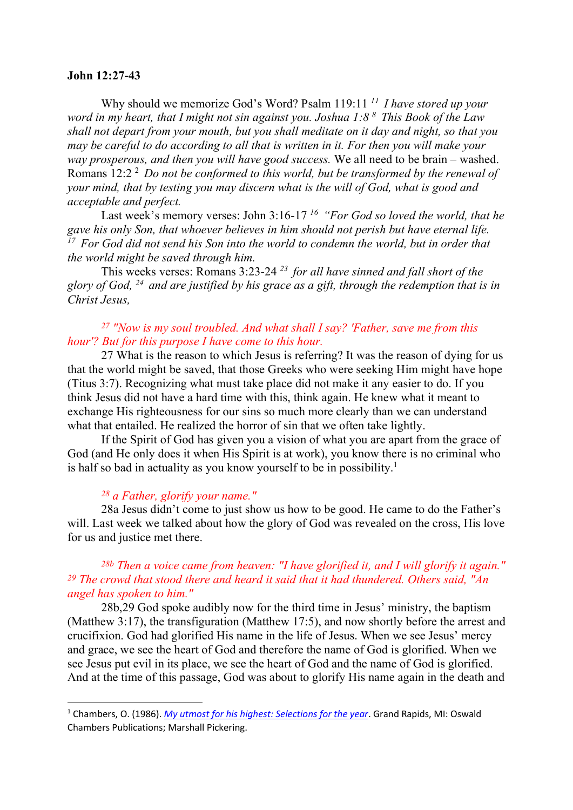#### John 12:27-43

Why should we memorize God's Word? Psalm 119:11  $^{11}$  I have stored up your word in my heart, that I might not sin against you. Joshua  $1:8<sup>8</sup>$  This Book of the Law shall not depart from your mouth, but you shall meditate on it day and night, so that you may be careful to do according to all that is written in it. For then you will make your way prosperous, and then you will have good success. We all need to be brain – washed. Romans  $12:2<sup>2</sup>$  Do not be conformed to this world, but be transformed by the renewal of your mind, that by testing you may discern what is the will of God, what is good and acceptable and perfect.

Last week's memory verses: John 3:16-17<sup>16</sup> "For God so loved the world, that he gave his only Son, that whoever believes in him should not perish but have eternal life.  $17$  For God did not send his Son into the world to condemn the world, but in order that the world might be saved through him.

This weeks verses: Romans  $3:23-24^{23}$  for all have sinned and fall short of the glory of God,  $^{24}$  and are justified by his grace as a gift, through the redemption that is in Christ Jesus,

## $27$  "Now is my soul troubled. And what shall I say? 'Father, save me from this hour'? But for this purpose I have come to this hour.

27 What is the reason to which Jesus is referring? It was the reason of dying for us that the world might be saved, that those Greeks who were seeking Him might have hope (Titus 3:7). Recognizing what must take place did not make it any easier to do. If you think Jesus did not have a hard time with this, think again. He knew what it meant to exchange His righteousness for our sins so much more clearly than we can understand what that entailed. He realized the horror of sin that we often take lightly.

 If the Spirit of God has given you a vision of what you are apart from the grace of God (and He only does it when His Spirit is at work), you know there is no criminal who is half so bad in actuality as you know yourself to be in possibility.<sup>1</sup>

### $28$  a Father, glorify your name."

28a Jesus didn't come to just show us how to be good. He came to do the Father's will. Last week we talked about how the glory of God was revealed on the cross, His love for us and justice met there.

# $28b$  Then a voice came from heaven: "I have glorified it, and I will glorify it again." <sup>29</sup> The crowd that stood there and heard it said that it had thundered. Others said, "An angel has spoken to him."

28b,29 God spoke audibly now for the third time in Jesus' ministry, the baptism (Matthew 3:17), the transfiguration (Matthew 17:5), and now shortly before the arrest and crucifixion. God had glorified His name in the life of Jesus. When we see Jesus' mercy and grace, we see the heart of God and therefore the name of God is glorified. When we see Jesus put evil in its place, we see the heart of God and the name of God is glorified. And at the time of this passage, God was about to glorify His name again in the death and

<sup>&</sup>lt;sup>1</sup> Chambers, O. (1986). *My utmost for his highest: Selections for the year*. Grand Rapids, MI: Oswald Chambers Publications; Marshall Pickering.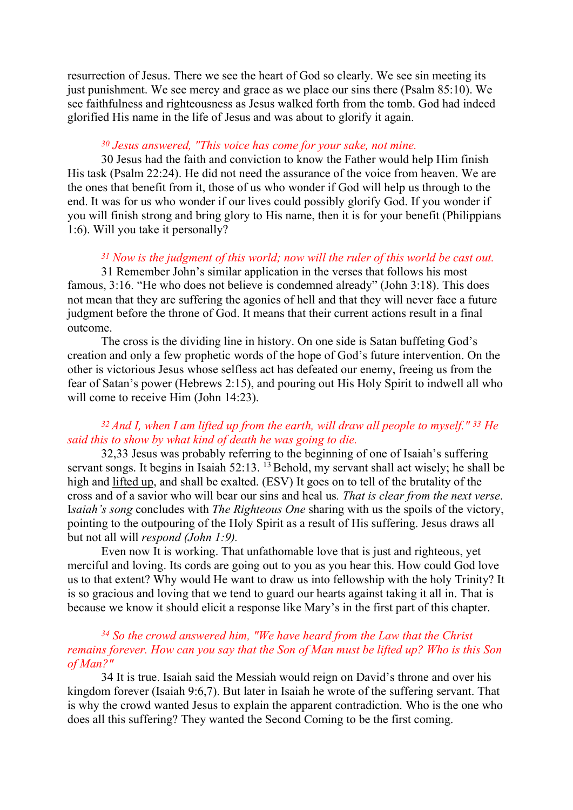resurrection of Jesus. There we see the heart of God so clearly. We see sin meeting its just punishment. We see mercy and grace as we place our sins there (Psalm 85:10). We see faithfulness and righteousness as Jesus walked forth from the tomb. God had indeed glorified His name in the life of Jesus and was about to glorify it again.

### <sup>30</sup> Jesus answered, "This voice has come for your sake, not mine.

30 Jesus had the faith and conviction to know the Father would help Him finish His task (Psalm 22:24). He did not need the assurance of the voice from heaven. We are the ones that benefit from it, those of us who wonder if God will help us through to the end. It was for us who wonder if our lives could possibly glorify God. If you wonder if you will finish strong and bring glory to His name, then it is for your benefit (Philippians 1:6). Will you take it personally?

#### $31$  Now is the judgment of this world; now will the ruler of this world be cast out.

31 Remember John's similar application in the verses that follows his most famous, 3:16. "He who does not believe is condemned already" (John 3:18). This does not mean that they are suffering the agonies of hell and that they will never face a future judgment before the throne of God. It means that their current actions result in a final outcome.

 The cross is the dividing line in history. On one side is Satan buffeting God's creation and only a few prophetic words of the hope of God's future intervention. On the other is victorious Jesus whose selfless act has defeated our enemy, freeing us from the fear of Satan's power (Hebrews 2:15), and pouring out His Holy Spirit to indwell all who will come to receive Him (John 14:23).

## $32$  And I, when I am lifted up from the earth, will draw all people to myself."  $33$  He said this to show by what kind of death he was going to die.

32,33 Jesus was probably referring to the beginning of one of Isaiah's suffering servant songs. It begins in Isaiah  $52:13$ . <sup>13</sup> Behold, my servant shall act wisely; he shall be high and lifted up, and shall be exalted. (ESV) It goes on to tell of the brutality of the cross and of a savior who will bear our sins and heal us. That is clear from the next verse. Isaiah's song concludes with The Righteous One sharing with us the spoils of the victory, pointing to the outpouring of the Holy Spirit as a result of His suffering. Jesus draws all but not all will respond (John 1:9).

 Even now It is working. That unfathomable love that is just and righteous, yet merciful and loving. Its cords are going out to you as you hear this. How could God love us to that extent? Why would He want to draw us into fellowship with the holy Trinity? It is so gracious and loving that we tend to guard our hearts against taking it all in. That is because we know it should elicit a response like Mary's in the first part of this chapter.

## $34$  So the crowd answered him, "We have heard from the Law that the Christ remains forever. How can you say that the Son of Man must be lifted up? Who is this Son of Man?"

34 It is true. Isaiah said the Messiah would reign on David's throne and over his kingdom forever (Isaiah 9:6,7). But later in Isaiah he wrote of the suffering servant. That is why the crowd wanted Jesus to explain the apparent contradiction. Who is the one who does all this suffering? They wanted the Second Coming to be the first coming.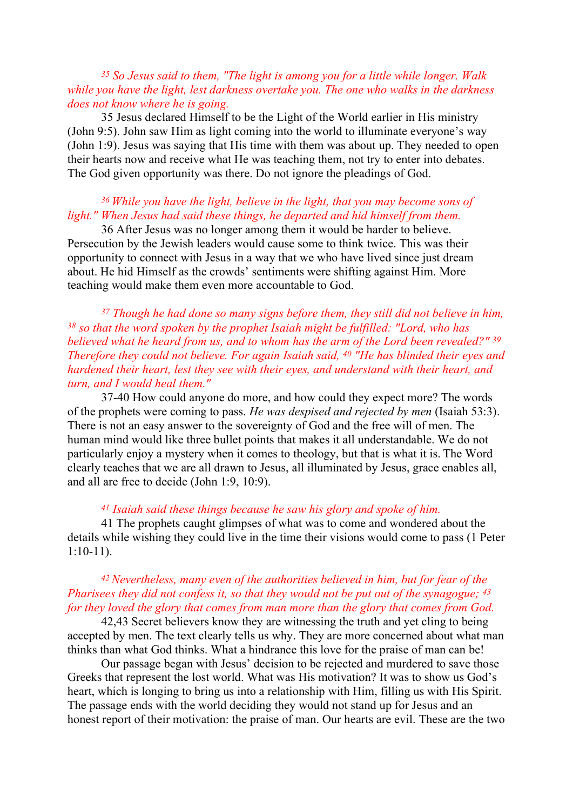# $35$  So Jesus said to them, "The light is among you for a little while longer. Walk while you have the light, lest darkness overtake you. The one who walks in the darkness does not know where he is going.

35 Jesus declared Himself to be the Light of the World earlier in His ministry (John 9:5). John saw Him as light coming into the world to illuminate everyone's way (John 1:9). Jesus was saying that His time with them was about up. They needed to open their hearts now and receive what He was teaching them, not try to enter into debates. The God given opportunity was there. Do not ignore the pleadings of God.

# <sup>36</sup>While you have the light, believe in the light, that you may become sons of light." When Jesus had said these things, he departed and hid himself from them.

36 After Jesus was no longer among them it would be harder to believe. Persecution by the Jewish leaders would cause some to think twice. This was their opportunity to connect with Jesus in a way that we who have lived since just dream about. He hid Himself as the crowds' sentiments were shifting against Him. More teaching would make them even more accountable to God.

<sup>37</sup> Though he had done so many signs before them, they still did not believe in him,  $38$  so that the word spoken by the prophet Isaiah might be fulfilled: "Lord, who has believed what he heard from us, and to whom has the arm of the Lord been revealed?" 39 Therefore they could not believe. For again Isaiah said,  $40$  "He has blinded their eyes and hardened their heart, lest they see with their eyes, and understand with their heart, and turn, and I would heal them."

37-40 How could anyone do more, and how could they expect more? The words of the prophets were coming to pass. He was despised and rejected by men (Isaiah 53:3). There is not an easy answer to the sovereignty of God and the free will of men. The human mind would like three bullet points that makes it all understandable. We do not particularly enjoy a mystery when it comes to theology, but that is what it is. The Word clearly teaches that we are all drawn to Jesus, all illuminated by Jesus, grace enables all, and all are free to decide (John 1:9, 10:9).

#### $41$  Isaiah said these things because he saw his glory and spoke of him.

41 The prophets caught glimpses of what was to come and wondered about the details while wishing they could live in the time their visions would come to pass (1 Peter 1:10-11).

# $42$  Nevertheless, many even of the authorities believed in him, but for fear of the Pharisees they did not confess it, so that they would not be put out of the synagogue;  $43$ for they loved the glory that comes from man more than the glory that comes from God.

42,43 Secret believers know they are witnessing the truth and yet cling to being accepted by men. The text clearly tells us why. They are more concerned about what man thinks than what God thinks. What a hindrance this love for the praise of man can be!

 Our passage began with Jesus' decision to be rejected and murdered to save those Greeks that represent the lost world. What was His motivation? It was to show us God's heart, which is longing to bring us into a relationship with Him, filling us with His Spirit. The passage ends with the world deciding they would not stand up for Jesus and an honest report of their motivation: the praise of man. Our hearts are evil. These are the two